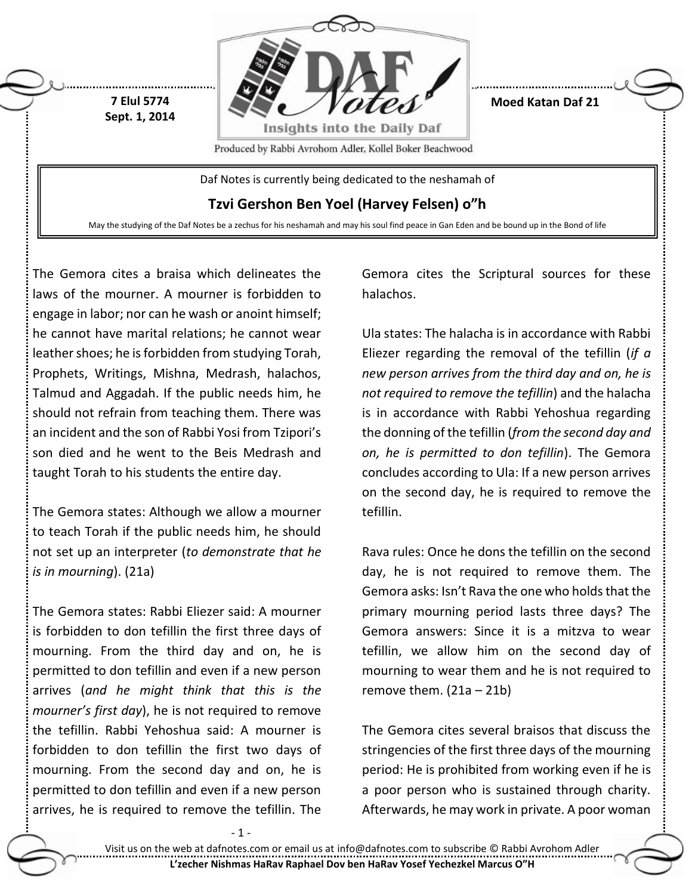

**Moed Katan Daf 21**

Produced by Rabbi Avrohom Adler, Kollel Boker Beachwood

Daf Notes is currently being dedicated to the neshamah of

**Tzvi Gershon Ben Yoel (Harvey Felsen) o"h**

May the studying of the Daf Notes be a zechus for his neshamah and may his soul find peace in Gan Eden and be bound up in the Bond of life

The Gemora cites a braisa which delineates the laws of the mourner. A mourner is forbidden to engage in labor; nor can he wash or anoint himself; he cannot have marital relations; he cannot wear leather shoes; he is forbidden from studying Torah, Prophets, Writings, Mishna, Medrash, halachos, Talmud and Aggadah. If the public needs him, he should not refrain from teaching them. There was an incident and the son of Rabbi Yosi from Tzipori's son died and he went to the Beis Medrash and taught Torah to his students the entire day.

**7 Elul 5774 Sept. 1, 2014**

The Gemora states: Although we allow a mourner to teach Torah if the public needs him, he should not set up an interpreter (*to demonstrate that he is in mourning*). (21a)

The Gemora states: Rabbi Eliezer said: A mourner is forbidden to don tefillin the first three days of mourning. From the third day and on, he is permitted to don tefillin and even if a new person arrives (*and he might think that this is the mourner's first day*), he is not required to remove the tefillin. Rabbi Yehoshua said: A mourner is forbidden to don tefillin the first two days of mourning. From the second day and on, he is permitted to don tefillin and even if a new person arrives, he is required to remove the tefillin. The Gemora cites the Scriptural sources for these halachos.

Ula states: The halacha is in accordance with Rabbi Eliezer regarding the removal of the tefillin (*if a new person arrives from the third day and on, he is not required to remove the tefillin*) and the halacha is in accordance with Rabbi Yehoshua regarding the donning of the tefillin (*from the second day and on, he is permitted to don tefillin*). The Gemora concludes according to Ula: If a new person arrives on the second day, he is required to remove the tefillin.

Rava rules: Once he dons the tefillin on the second day, he is not required to remove them. The Gemora asks: Isn't Rava the one who holds that the primary mourning period lasts three days? The Gemora answers: Since it is a mitzva to wear tefillin, we allow him on the second day of mourning to wear them and he is not required to remove them.  $(21a - 21b)$ 

The Gemora cites several braisos that discuss the stringencies of the first three days of the mourning period: He is prohibited from working even if he is a poor person who is sustained through charity. Afterwards, he may work in private. A poor woman

- 1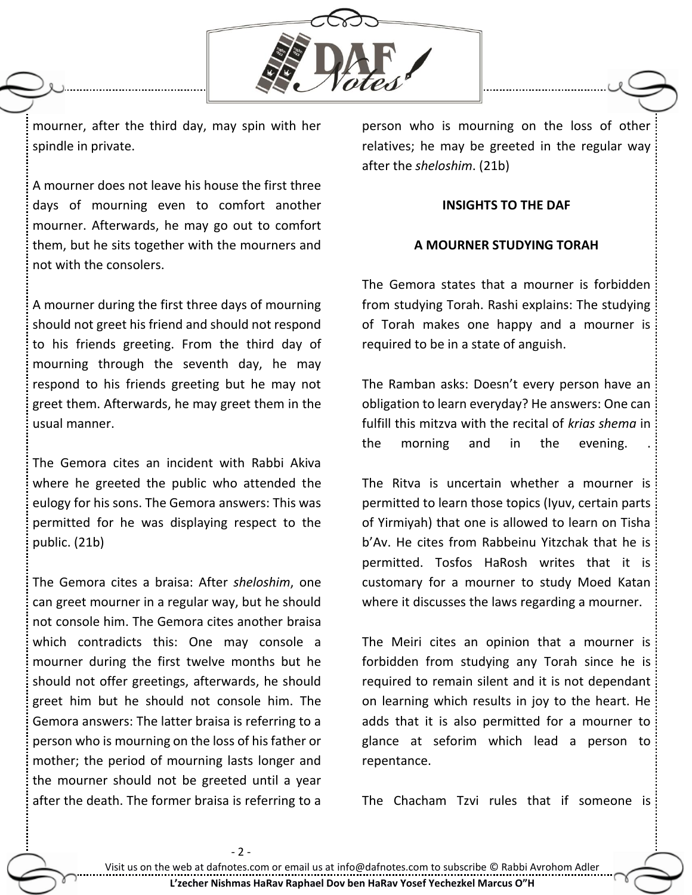

mourner, after the third day, may spin with her spindle in private.

A mourner does not leave his house the first three days of mourning even to comfort another mourner. Afterwards, he may go out to comfort them, but he sits together with the mourners and not with the consolers.

A mourner during the first three days of mourning should not greet his friend and should not respond to his friends greeting. From the third day of mourning through the seventh day, he may respond to his friends greeting but he may not greet them. Afterwards, he may greet them in the usual manner.

The Gemora cites an incident with Rabbi Akiva where he greeted the public who attended the eulogy for his sons. The Gemora answers: This was permitted for he was displaying respect to the public. (21b)

The Gemora cites a braisa: After *sheloshim*, one can greet mourner in a regular way, but he should not console him. The Gemora cites another braisa which contradicts this: One may console a mourner during the first twelve months but he should not offer greetings, afterwards, he should greet him but he should not console him. The Gemora answers: The latter braisa is referring to a person who is mourning on the loss of his father or mother; the period of mourning lasts longer and the mourner should not be greeted until a year after the death. The former braisa is referring to a

- 2 -

person who is mourning on the loss of other relatives; he may be greeted in the regular way after the *sheloshim*. (21b)

## **INSIGHTS TO THE DAF**

## **A MOURNER STUDYING TORAH**

The Gemora states that a mourner is forbidden from studying Torah. Rashi explains: The studying of Torah makes one happy and a mourner is required to be in a state of anguish.

The Ramban asks: Doesn't every person have an obligation to learn everyday? He answers: One can fulfill this mitzva with the recital of *krias shema* in the morning and in the evening.

The Ritva is uncertain whether a mourner is permitted to learn those topics (Iyuv, certain parts of Yirmiyah) that one is allowed to learn on Tisha b'Av. He cites from Rabbeinu Yitzchak that he is permitted. Tosfos HaRosh writes that it is customary for a mourner to study Moed Katan where it discusses the laws regarding a mourner.

The Meiri cites an opinion that a mourner is forbidden from studying any Torah since he is required to remain silent and it is not dependant on learning which results in joy to the heart. He adds that it is also permitted for a mourner to glance at seforim which lead a person to repentance.

The Chacham Tzvi rules that if someone is